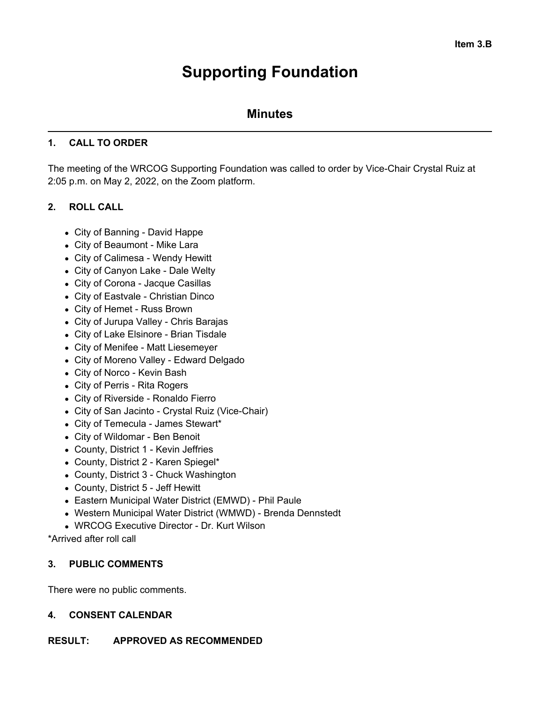# **Supporting Foundation**

# **Minutes**

#### **1. CALL TO ORDER**

The meeting of the WRCOG Supporting Foundation was called to order by Vice-Chair Crystal Ruiz at 2:05 p.m. on May 2, 2022, on the Zoom platform.

## **2. ROLL CALL**

- City of Banning David Happe
- City of Beaumont Mike Lara
- City of Calimesa Wendy Hewitt
- City of Canyon Lake Dale Welty
- City of Corona Jacque Casillas
- City of Eastvale Christian Dinco
- City of Hemet Russ Brown
- City of Jurupa Valley Chris Barajas
- City of Lake Elsinore Brian Tisdale
- City of Menifee Matt Liesemeyer
- City of Moreno Valley Edward Delgado
- City of Norco Kevin Bash
- City of Perris Rita Rogers
- City of Riverside Ronaldo Fierro
- City of San Jacinto Crystal Ruiz (Vice-Chair)
- City of Temecula James Stewart\*
- City of Wildomar Ben Benoit
- County, District 1 Kevin Jeffries
- County, District 2 Karen Spiegel\*
- County, District 3 Chuck Washington
- County, District 5 Jeff Hewitt
- Eastern Municipal Water District (EMWD) Phil Paule
- Western Municipal Water District (WMWD) Brenda Dennstedt
- WRCOG Executive Director Dr. Kurt Wilson

\*Arrived after roll call

#### **3. PUBLIC COMMENTS**

There were no public comments.

#### **4. CONSENT CALENDAR**

#### **RESULT: APPROVED AS RECOMMENDED**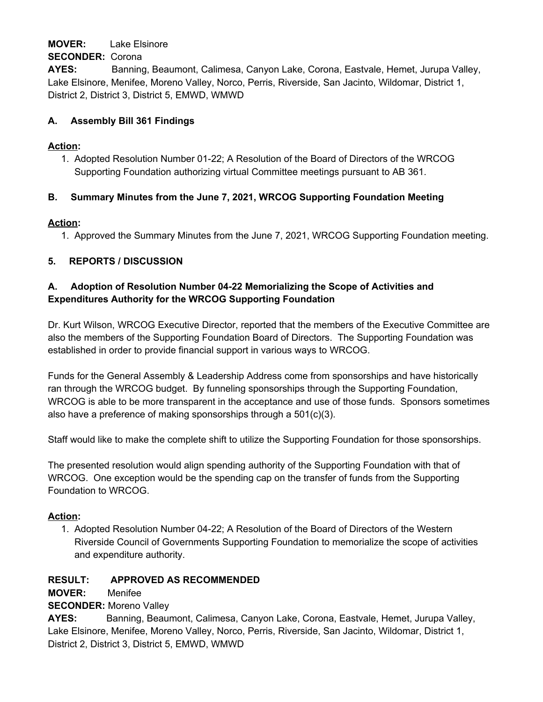#### **MOVER:** Lake Elsinore

#### **SECONDER:** Corona

**AYES:** Banning, Beaumont, Calimesa, Canyon Lake, Corona, Eastvale, Hemet, Jurupa Valley, Lake Elsinore, Menifee, Moreno Valley, Norco, Perris, Riverside, San Jacinto, Wildomar, District 1, District 2, District 3, District 5, EMWD, WMWD

#### **A. Assembly Bill 361 Findings**

#### **Action:**

1. Adopted Resolution Number 01-22; A Resolution of the Board of Directors of the WRCOG Supporting Foundation authorizing virtual Committee meetings pursuant to AB 361.

## **B. Summary Minutes from the June 7, 2021, WRCOG Supporting Foundation Meeting**

#### **Action:**

1. Approved the Summary Minutes from the June 7, 2021, WRCOG Supporting Foundation meeting.

## **5. REPORTS / DISCUSSION**

#### **A. Adoption of Resolution Number 04-22 Memorializing the Scope of Activities and Expenditures Authority for the WRCOG Supporting Foundation**

Dr. Kurt Wilson, WRCOG Executive Director, reported that the members of the Executive Committee are also the members of the Supporting Foundation Board of Directors. The Supporting Foundation was established in order to provide financial support in various ways to WRCOG.

Funds for the General Assembly & Leadership Address come from sponsorships and have historically ran through the WRCOG budget. By funneling sponsorships through the Supporting Foundation, WRCOG is able to be more transparent in the acceptance and use of those funds. Sponsors sometimes also have a preference of making sponsorships through a 501(c)(3).

Staff would like to make the complete shift to utilize the Supporting Foundation for those sponsorships.

The presented resolution would align spending authority of the Supporting Foundation with that of WRCOG. One exception would be the spending cap on the transfer of funds from the Supporting Foundation to WRCOG.

#### **Action:**

1. Adopted Resolution Number 04-22; A Resolution of the Board of Directors of the Western Riverside Council of Governments Supporting Foundation to memorialize the scope of activities and expenditure authority.

#### **RESULT: APPROVED AS RECOMMENDED**

**MOVER:** Menifee

**SECONDER:** Moreno Valley

**AYES:** Banning, Beaumont, Calimesa, Canyon Lake, Corona, Eastvale, Hemet, Jurupa Valley, Lake Elsinore, Menifee, Moreno Valley, Norco, Perris, Riverside, San Jacinto, Wildomar, District 1, District 2, District 3, District 5, EMWD, WMWD